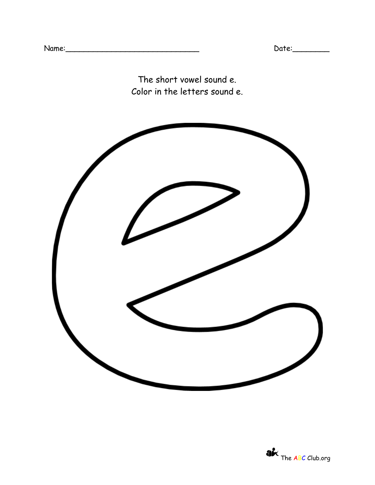The short vowel sound e. Color in the letters sound e.



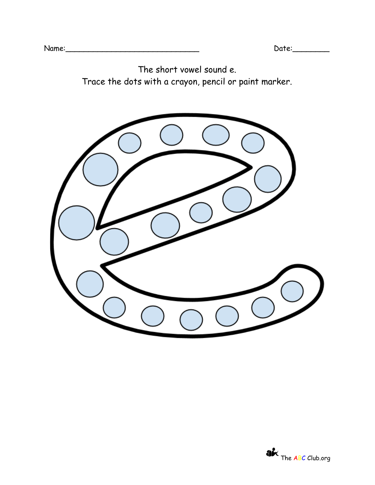The short vowel sound e. Trace the dots with a crayon, pencil or paint marker.

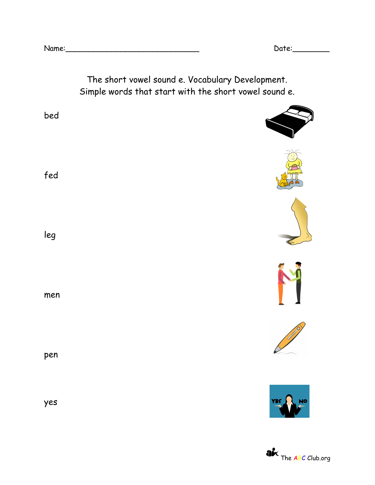

**AK** The ABC Club.org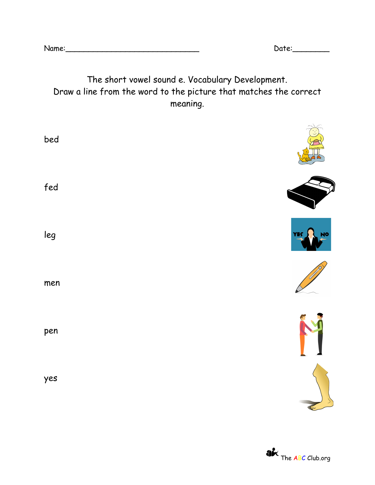Name:\_\_\_\_\_\_\_\_\_\_\_\_\_\_\_\_\_\_\_\_\_\_\_\_\_\_\_\_\_ Date:\_\_\_\_\_\_\_\_

## The short vowel sound e. Vocabulary Development. Draw a line from the word to the picture that matches the correct meaning.

| bed |                  |
|-----|------------------|
| fed |                  |
| leg | YES<br><b>NO</b> |
| men |                  |
| pen |                  |
| yes |                  |

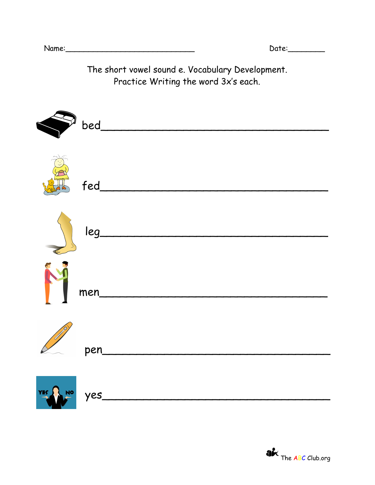The short vowel sound e. Vocabulary Development. Practice Writing the word 3x's each.

| bed  |
|------|
|      |
|      |
| men  |
| pen  |
| yes. |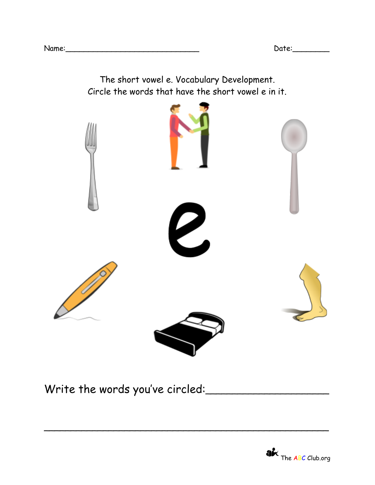The short vowel e. Vocabulary Development. Circle the words that have the short vowel e in it. VUU

\_\_\_\_\_\_\_\_\_\_\_\_\_\_\_\_\_\_\_\_\_\_\_\_\_\_\_\_\_\_\_\_\_\_\_\_\_\_\_\_\_\_\_\_\_\_\_\_\_\_\_\_\_

Write the words you've circled: